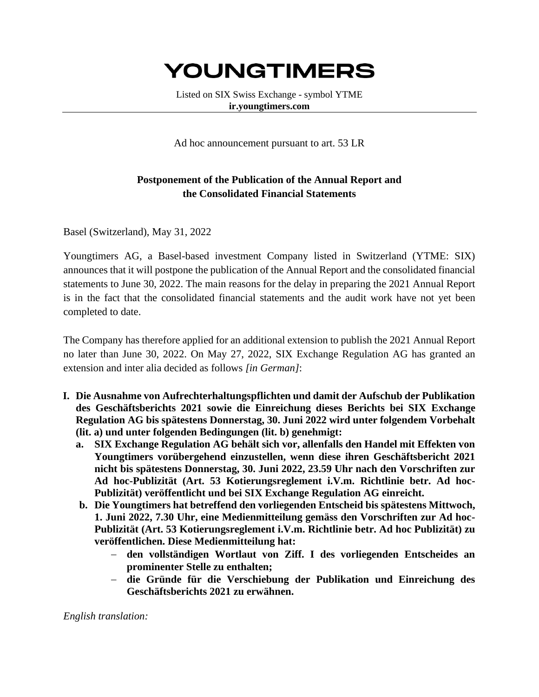## **YOUNGTIMERS**

Listed on SIX Swiss Exchange - symbol YTME **ir.youngtimers.com**

Ad hoc announcement pursuant to art. 53 LR

## **Postponement of the Publication of the Annual Report and the Consolidated Financial Statements**

Basel (Switzerland), May 31, 2022

Youngtimers AG, a Basel-based investment Company listed in Switzerland (YTME: SIX) announces that it will postpone the publication of the Annual Report and the consolidated financial statements to June 30, 2022. The main reasons for the delay in preparing the 2021 Annual Report is in the fact that the consolidated financial statements and the audit work have not yet been completed to date.

The Company has therefore applied for an additional extension to publish the 2021 Annual Report no later than June 30, 2022. On May 27, 2022, SIX Exchange Regulation AG has granted an extension and inter alia decided as follows *[in German]*:

- **I. Die Ausnahme von Aufrechterhaltungspflichten und damit der Aufschub der Publikation des Geschäftsberichts 2021 sowie die Einreichung dieses Berichts bei SIX Exchange Regulation AG bis spätestens Donnerstag, 30. Juni 2022 wird unter folgendem Vorbehalt (lit. a) und unter folgenden Bedingungen (lit. b) genehmigt:**
	- **a. SIX Exchange Regulation AG behält sich vor, allenfalls den Handel mit Effekten von Youngtimers vorübergehend einzustellen, wenn diese ihren Geschäftsbericht 2021 nicht bis spätestens Donnerstag, 30. Juni 2022, 23.59 Uhr nach den Vorschriften zur Ad hoc-Publizität (Art. 53 Kotierungsreglement i.V.m. Richtlinie betr. Ad hoc-Publizität) veröffentlicht und bei SIX Exchange Regulation AG einreicht.**
	- **b. Die Youngtimers hat betreffend den vorliegenden Entscheid bis spätestens Mittwoch, 1. Juni 2022, 7.30 Uhr, eine Medienmitteilung gemäss den Vorschriften zur Ad hoc-Publizität (Art. 53 Kotierungsreglement i.V.m. Richtlinie betr. Ad hoc Publizität) zu veröffentlichen. Diese Medienmitteilung hat:**
		- − **den vollständigen Wortlaut von Ziff. I des vorliegenden Entscheides an prominenter Stelle zu enthalten;**
		- − **die Gründe für die Verschiebung der Publikation und Einreichung des Geschäftsberichts 2021 zu erwähnen.**

## *English translation:*